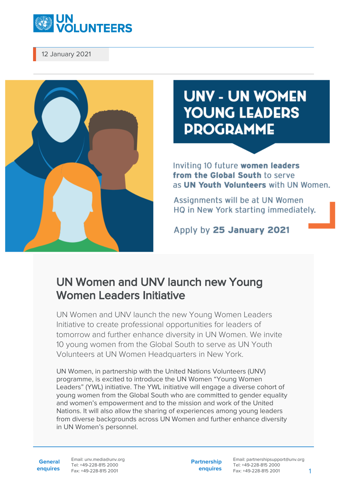

12 January 2021



## **UNV - UN WOMEN YOUNG LEADERS PROGRAMME**

Inviting 10 future women leaders from the Global South to serve as UN Youth Volunteers with UN Women.

Assignments will be at UN Women HQ in New York starting immediately.

Apply by 25 January 2021

## UN Women and UNV launch new Young Women Leaders Initiative

UN Women and UNV launch the new Young Women Leaders Initiative to create professional opportunities for leaders of tomorrow and further enhance diversity in UN Women. We invite 10 young women from the Global South to serve as UN Youth Volunteers at UN Women Headquarters in New York.

UN Women, in partnership with the United Nations Volunteers (UNV) programme, is excited to introduce the UN Women "Young Women Leaders" (YWL) initiative. The YWL initiative will engage a diverse cohort of young women from the Global South who are committed to gender equality and women's empowerment and to the mission and work of the United Nations. It will also allow the sharing of experiences among young leaders from diverse backgrounds across UN Women and further enhance diversity in UN Women's personnel.

**General enquires** Email: unv.media@unv.org Tel: +49-228-815 2000 Fax: +49-228-815 2001

**Partnership enquires** Email: partnershipsupport@unv.org Tel: +49-228-815 2000 Fax: +49-228-815 2001 1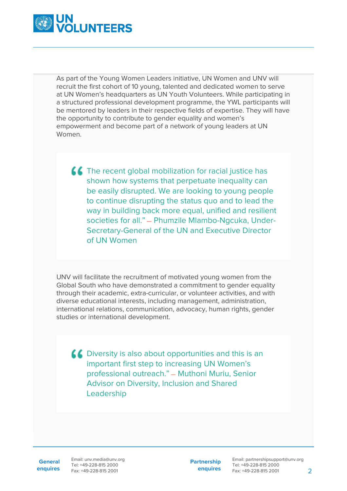

As part of the Young Women Leaders initiative, UN Women and UNV will recruit the first cohort of 10 young, talented and dedicated women to serve at UN Women's headquarters as UN Youth Volunteers. While participating in a structured professional development programme, the YWL participants will be mentored by leaders in their respective fields of expertise. They will have the opportunity to contribute to gender equality and women's empowerment and become part of a network of young leaders at UN Women.

 $\blacksquare$  The recent global mobilization for racial justice has shown how systems that perpetuate inequality can be easily disrupted. We are looking to young people to continue disrupting the status quo and to lead the way in building back more equal, unified and resilient societies for all." — Phumzile Mlambo-Ngcuka, Under-Secretary-General of the UN and Executive Director of UN Women

UNV will facilitate the recruitment of motivated young women from the Global South who have demonstrated a commitment to gender equality through their academic, extra-curricular, or volunteer activities, and with diverse educational interests, including management, administration, international relations, communication, advocacy, human rights, gender studies or international development.

**CO** Diversity is also about opportunities and this is an important first step to increasing UN Women's professional outreach." — Muthoni Muriu, Senior Advisor on Diversity, Inclusion and Shared Leadership

**General**

**enquires** Fax: +49-228-815 2001 Email: unv.media@unv.org Tel: +49-228-815 2000

**Partnership enquires**

Email: partnershipsupport@unv.org Tel: +49-228-815 2000 Fax: +49-228-815 2001 2